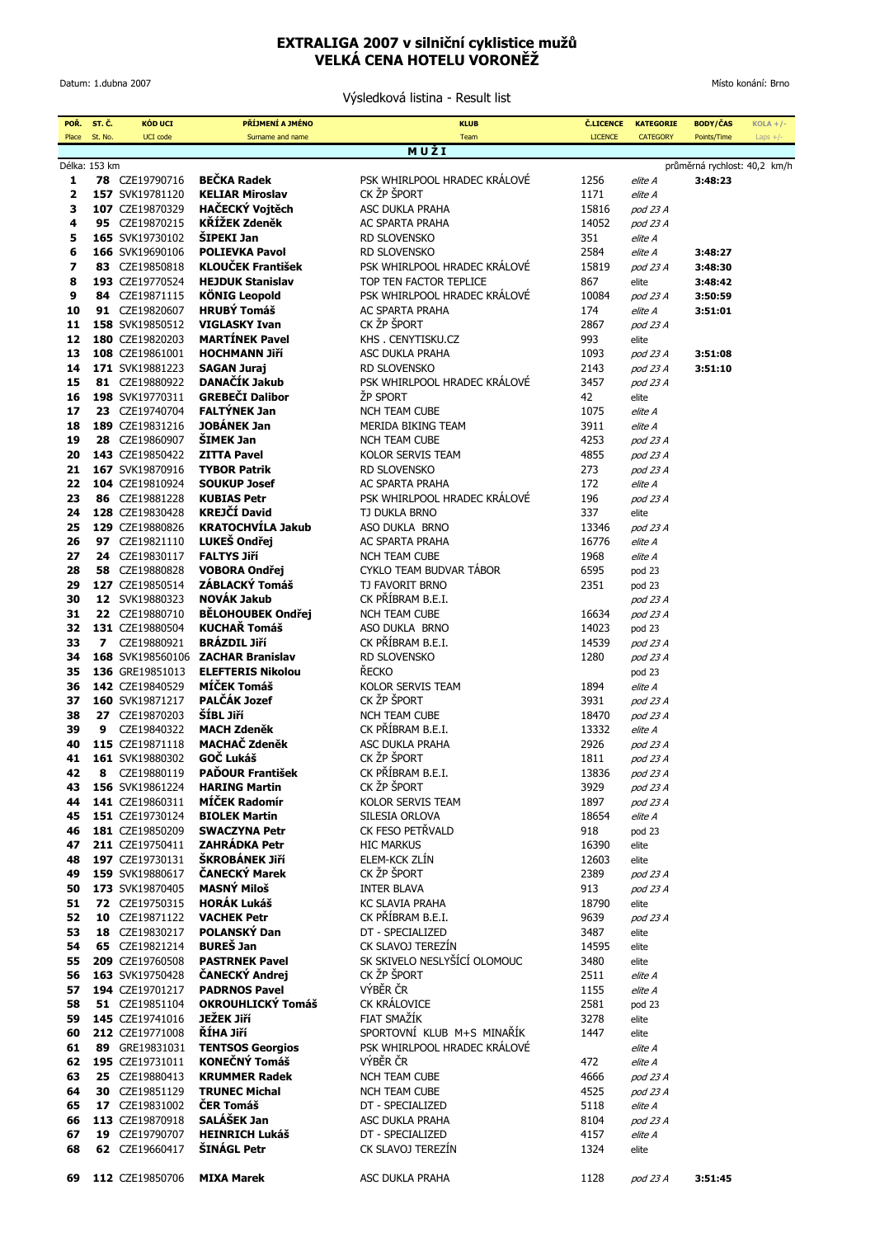## **EXTRALIGA 2007 v silniční cyklistice mužů VELKÁ CENA HOTELU VORONĚŽ**

Datum: 1.dubna 2007

Výsledková listina - Result list

Místo konání: Brno

| POŘ.                                          | ST. Č.  | <b>KÓD UCI</b>                     | PŘÍJMENÍ A JMÉNO                                  | <b>KLUB</b>                                            | <b>Č.LICENCE</b><br><b>LICENCE</b> | <b>KATEGORIE</b>     | <b>BODY/ČAS</b>    | $KOLA + / -$ |
|-----------------------------------------------|---------|------------------------------------|---------------------------------------------------|--------------------------------------------------------|------------------------------------|----------------------|--------------------|--------------|
| Place                                         | St. No. | <b>UCI</b> code                    | Surname and name                                  | Team<br>MUŽI                                           |                                    | <b>CATEGORY</b>      | Points/Time        | Laps $+/-$   |
| Délka: 153 km<br>průměrná rychlost: 40,2 km/h |         |                                    |                                                   |                                                        |                                    |                      |                    |              |
| 1                                             |         | 78 CZE19790716                     | <b>BEČKA Radek</b>                                | PSK WHIRLPOOL HRADEC KRÁLOVÉ                           | 1256                               | elite A              | 3:48:23            |              |
| 2                                             |         | 157 SVK19781120                    | <b>KELIAR Miroslav</b>                            | CK ŽP ŠPORT                                            | 1171                               | elite A              |                    |              |
| 3                                             |         | 107 CZE19870329                    | <b>HAČECKÝ Voitěch</b>                            | <b>ASC DUKLA PRAHA</b>                                 | 15816                              | pod 23 A             |                    |              |
| 4                                             |         | 95 CZE19870215                     | <b>KŘÍŽEK Zdeněk</b>                              | AC SPARTA PRAHA                                        | 14052                              | pod 23 A             |                    |              |
| 5                                             |         | 165 SVK19730102                    | <b>SIPEKI Jan</b>                                 | RD SLOVENSKO                                           | 351                                | elite A              |                    |              |
| 6                                             |         | 166 SVK19690106                    | <b>POLIEVKA Pavol</b><br><b>KLOUČEK František</b> | RD SLOVENSKO                                           | 2584                               | elite A              | 3:48:27            |              |
| 7                                             |         | 83 CZE19850818                     | <b>HEJDUK Stanislav</b>                           | PSK WHIRLPOOL HRADEC KRALOVE<br>TOP TEN FACTOR TEPLICE | 15819                              | pod 23 A             | 3:48:30<br>3:48:42 |              |
| 8<br>9                                        |         | 193 CZE19770524<br>84 CZE19871115  | <b>KÖNIG Leopold</b>                              | PSK WHIRLPOOL HRADEC KRALOVE                           | 867<br>10084                       | elite<br>pod 23 A    | 3:50:59            |              |
| 10                                            |         | 91 CZE19820607                     | <b>HRUBÝ Tomáš</b>                                | <b>AC SPARTA PRAHA</b>                                 | 174                                | elite A              | 3:51:01            |              |
| 11                                            |         | 158 SVK19850512                    | <b>VIGLASKY Ivan</b>                              | CK ŽP ŠPORT                                            | 2867                               | pod 23 A             |                    |              |
| 12                                            |         | 180 CZE19820203                    | <b>MARTÍNEK Pavel</b>                             | KHS. CENYTISKU.CZ                                      | 993                                | elite                |                    |              |
| 13                                            |         | 108 CZE19861001                    | <b>HOCHMANN Jiří</b>                              | ASC DUKLA PRAHA                                        | 1093                               | pod 23 A             | 3:51:08            |              |
| 14                                            |         | 171 SVK19881223                    | <b>SAGAN Juraj</b>                                | RD SLOVENSKO                                           | 2143                               | pod 23 A             | 3:51:10            |              |
| 15                                            |         | 81 CZE19880922                     | DANAČÍK Jakub                                     | PSK WHIRLPOOL HRADEC KRALOVE                           | 3457                               | pod 23 A             |                    |              |
| 16                                            |         | 198 SVK19770311                    | <b>GREBEČI Dalibor</b>                            | ŽP SPORT                                               | 42                                 | elite                |                    |              |
| 17                                            |         | 23 CZE19740704                     | <b>FALTÝNEK Jan</b>                               | <b>NCH TEAM CUBE</b>                                   | 1075                               | elite A              |                    |              |
| 18                                            |         | 189 CZE19831216                    | <b>JOBÁNEK Jan</b>                                | <b>MERIDA BIKING TEAM</b>                              | 3911                               | elite A              |                    |              |
| 19                                            |         | 28 CZE19860907                     | <b>SIMEK Jan</b>                                  | <b>NCH TEAM CUBE</b>                                   | 4253                               | pod 23 A             |                    |              |
| 20                                            |         | 143 CZE19850422                    | <b>ZITTA Pavel</b>                                | KOLOR SERVIS TEAM                                      | 4855                               | pod 23 A             |                    |              |
| 21                                            |         | 167 SVK19870916                    | <b>TYBOR Patrik</b>                               | <b>RD SLOVENSKO</b>                                    | 273                                | pod 23 A             |                    |              |
| 22                                            |         | 104 CZE19810924                    | <b>SOUKUP Josef</b>                               | <b>AC SPARTA PRAHA</b>                                 | 172                                | elite A              |                    |              |
| 23                                            |         | 86 CZE19881228                     | <b>KUBIAS Petr</b><br><b>KREJČÍ David</b>         | PSK WHIRLPOOL HRADEC KRALOVE                           | 196                                | pod 23 A             |                    |              |
| 24                                            |         | 128 CZE19830428                    | <b>KRATOCHVÍLA Jakub</b>                          | TJ DUKLA BRNO                                          | 337<br>13346                       | elite                |                    |              |
| 25<br>26                                      |         | 129 CZE19880826<br>97 CZE19821110  | LUKEŠ Ondřej                                      | ASO DUKLA BRNO<br>AC SPARTA PRAHA                      | 16776                              | pod 23 A<br>elite A  |                    |              |
| 27                                            |         | 24 CZE19830117                     | <b>FALTYS Jiří</b>                                | <b>NCH TEAM CUBE</b>                                   | 1968                               | elite A              |                    |              |
| 28                                            |         | 58 CZE19880828                     | <b>VOBORA Ondřej</b>                              | CYKLO TEAM BUDVAR TABOR                                | 6595                               | pod 23               |                    |              |
| 29                                            |         | 127 CZE19850514                    | ZÁBLACKÝ Tomáš                                    | TJ FAVORIT BRNO                                        | 2351                               | pod 23               |                    |              |
| 30                                            |         | 12 SVK19880323                     | <b>NOVÁK Jakub</b>                                | CK PŘÍBRAM B.E.I.                                      |                                    | pod 23 A             |                    |              |
| 31                                            |         | 22 CZE19880710                     | <b>BĚLOHOUBEK Ondřej</b>                          | <b>NCH TEAM CUBE</b>                                   | 16634                              | pod 23 A             |                    |              |
| 32                                            |         | 131 CZE19880504                    | <b>KUCHAŘ Tomáš</b>                               | ASO DUKLA BRNO                                         | 14023                              | pod 23               |                    |              |
| 33                                            |         | 7 CZE19880921                      | <b>BRÁZDIL JIří</b>                               | CK PŘÍBRAM B.E.I.                                      | 14539                              | pod 23 A             |                    |              |
| 34                                            |         | 168 SVK198560106                   | <b>ZACHAR Branislav</b>                           | RD SLOVENSKO                                           | 1280                               | pod 23 A             |                    |              |
| 35                                            |         | 136 GRE19851013                    | <b>ELEFTERIS Nikolou</b>                          | ŘECKO                                                  |                                    | pod 23               |                    |              |
| 36                                            |         | 142 CZE19840529                    | <b>MÍČEK Tomáš</b>                                | KOLOR SERVIS TEAM                                      | 1894                               | elite A              |                    |              |
| 37                                            |         | 160 SVK19871217                    | PALČÁK Jozef                                      | CK ŽP ŠPORT                                            | 3931                               | pod 23 A             |                    |              |
| 38                                            |         | 27 CZE19870203                     | ŠÍBL Jiří                                         | <b>NCH TEAM CUBE</b>                                   | 18470                              | pod 23 A             |                    |              |
| 39                                            | 9       | CZE19840322                        | <b>MACH Zdeněk</b>                                | CK PŘÍBRAM B.E.I.                                      | 13332                              | elite A              |                    |              |
| 40                                            |         | 115 CZE19871118<br>161 SVK19880302 | <b>MACHAČ Zdeněk</b><br>GOČ Lukáš                 | ASC DUKLA PRAHA<br>CK ŽP ŠPORT                         | 2926                               | pod 23 A             |                    |              |
| 41<br>42                                      |         | 8 CZE19880119                      | <b>PAĎOUR František</b>                           | CK PŘÍBRAM B.E.I.                                      | 1811<br>13836                      | pod 23 A<br>pod 23 A |                    |              |
| 43                                            |         | 156 SVK19861224                    | <b>HARING Martin</b>                              | CK ŽP ŠPORT                                            | 3929                               | pod 23 A             |                    |              |
| 44                                            |         | 141 CZE19860311                    | MÍČEK Radomír                                     | KOLOR SERVIS TEAM                                      | 1897                               | pod 23 A             |                    |              |
| 45                                            |         | 151 CZE19730124                    | <b>BIOLEK Martin</b>                              | SILESIA ORLOVA                                         | 18654                              | elite A              |                    |              |
| 46                                            |         | 181 CZE19850209                    | <b>SWACZYNA Petr</b>                              | CK FESO PETŘVALD                                       | 918                                | pod 23               |                    |              |
| 47                                            |         | 211 CZE19750411                    | <b>ZAHRÁDKA Petr</b>                              | <b>HIC MARKUS</b>                                      | 16390                              | elite                |                    |              |
| 48                                            |         | 197 CZE19730131                    | ŠKROBÁNEK JIří                                    | ELEM-KCK ZLÍN                                          | 12603                              | elite                |                    |              |
| 49                                            |         | 159 SVK19880617                    | ČANECKÝ Marek                                     | CK ŽP ŠPORT                                            | 2389                               | pod 23 A             |                    |              |
| 50                                            |         | 173 SVK19870405                    | <b>MASNÝ Miloš</b>                                | <b>INTER BLAVA</b>                                     | 913                                | pod 23 A             |                    |              |
| 51                                            |         | <b>72</b> CZE19750315              | <b>HORÁK Lukáš</b>                                | <b>KC SLAVIA PRAHA</b>                                 | 18790                              | elite                |                    |              |
| 52                                            |         | 10 CZE19871122                     | <b>VACHEK Petr</b>                                | CK PŘÍBRAM B.E.I.                                      | 9639                               | pod 23 A             |                    |              |
| 53                                            |         | 18 CZE19830217                     | POLANSKÝ Dan<br><b>BUREŠ Jan</b>                  | DT - SPECIALIZED                                       | 3487                               | elite                |                    |              |
| 54<br>55                                      |         | 65 CZE19821214                     | <b>PASTRNEK Pavel</b>                             | CK SLAVOJ TEREZÍN<br>SK SKIVELO NESLYŠÍCÍ OLOMOUC      | 14595                              | elite                |                    |              |
| 56                                            |         | 209 CZE19760508<br>163 SVK19750428 | ČANECKÝ Andrej                                    | CK ŽP ŠPORT                                            | 3480<br>2511                       | elite<br>elite A     |                    |              |
| 57                                            |         | 194 CZE19701217                    | <b>PADRNOS Pavel</b>                              | VÝBĚR ČR                                               | 1155                               | elite A              |                    |              |
| 58                                            |         | <b>51</b> CZE19851104              | <b>OKROUHLICKÝ Tomáš</b>                          | CK KRALOVICE                                           | 2581                               | pod 23               |                    |              |
| 59                                            |         | 145 CZE19741016                    | JEŽEK Jiří                                        | FIAT SMAŽÍK                                            | 3278                               | elite                |                    |              |
| 60                                            |         | 212 CZE19771008                    | ŘÍHA Jiří                                         | SPORTOVNÍ KLUB M+S MINAŘÍK                             | 1447                               | elite                |                    |              |
| 61                                            |         | 89 GRE19831031                     | <b>TENTSOS Georgios</b>                           | PSK WHIRLPOOL HRADEC KRÁLOVÉ                           |                                    | elite A              |                    |              |
| 62                                            |         | 195 CZE19731011                    | KONEČNÝ Tomáš                                     | VÝBĚR ČR                                               | 472                                | elite A              |                    |              |
| 63                                            |         | 25 CZE19880413                     | <b>KRUMMER Radek</b>                              | <b>NCH TEAM CUBE</b>                                   | 4666                               | pod 23 A             |                    |              |
| 64                                            |         | 30 CZE19851129                     | <b>TRUNEC Michal</b>                              | <b>NCH TEAM CUBE</b>                                   | 4525                               | pod 23 A             |                    |              |
| 65                                            |         | 17 CZE19831002                     | <b>ČER Tomáš</b>                                  | DT - SPECIALIZED                                       | 5118                               | elite A              |                    |              |
| 66                                            |         | 113 CZE19870918                    | SALÁŠEK Jan                                       | ASC DUKLA PRAHA                                        | 8104                               | pod 23 A             |                    |              |
| 67                                            |         | 19 CZE19790707                     | <b>HEINRICH Lukáš</b>                             | DT - SPECIALIZED                                       | 4157                               | elite A              |                    |              |
| 68                                            |         | 62 CZE19660417                     | ŠINÁGL Petr                                       | CK SLAVOJ TEREZÍN                                      | 1324                               | elite                |                    |              |
|                                               |         |                                    |                                                   |                                                        |                                    |                      |                    |              |
| 69                                            |         | 112 CZE19850706                    | <b>MIXA Marek</b>                                 | ASC DUKLA PRAHA                                        | 1128                               | pod 23 A             | 3:51:45            |              |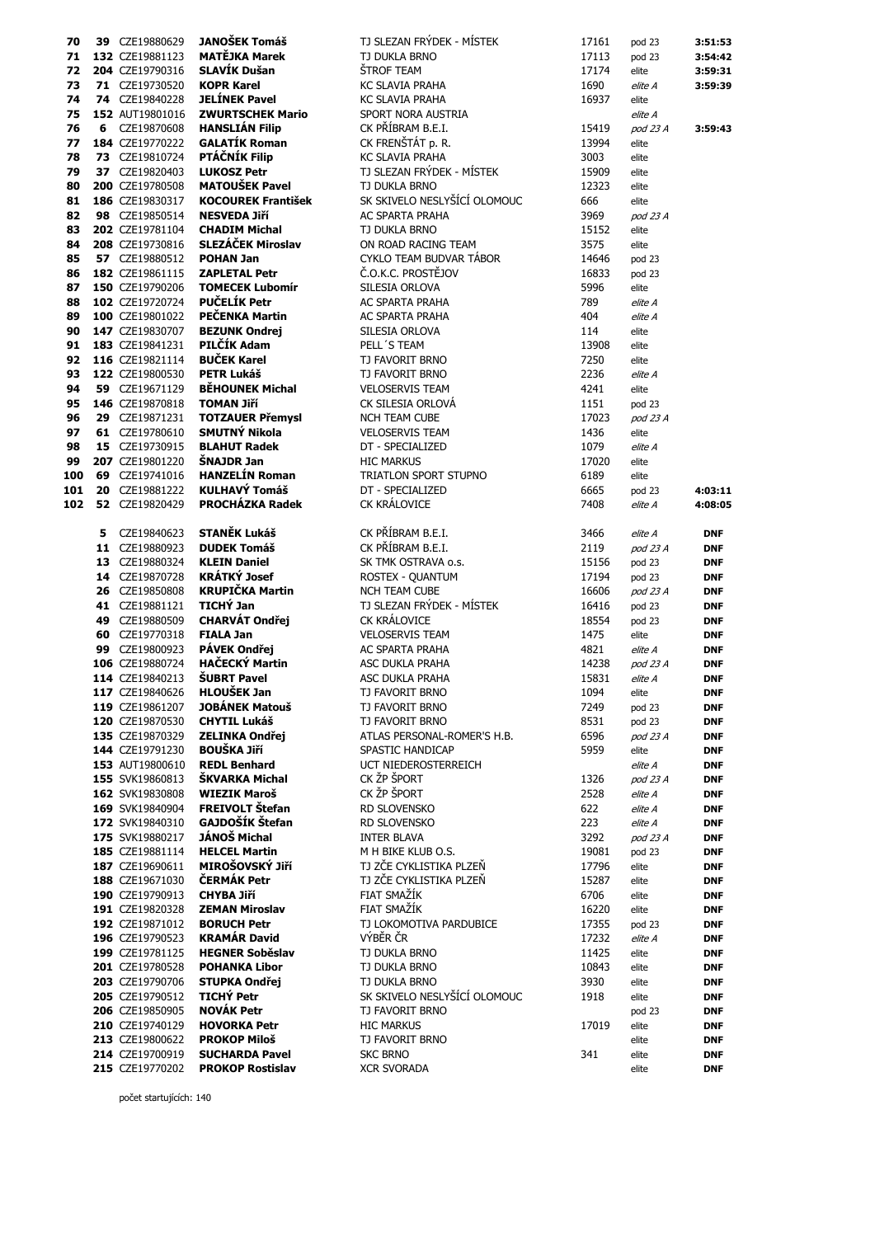| 70  |    | 39 CZE19880629                     | <b>JANOŠEK Tomáš</b>                             | TJ SLEZAN FRÝDEK - MÍSTEK             | 17161 | pod 23         | 3:51:53                  |
|-----|----|------------------------------------|--------------------------------------------------|---------------------------------------|-------|----------------|--------------------------|
| 71  |    | 132 CZE19881123                    | <b>MATĚJKA Marek</b>                             | TJ DUKLA BRNO                         | 17113 | pod 23         | 3:54:42                  |
| 72  |    | 204 CZE19790316                    | SLAVÍK Dušan                                     | ŠTROF TEAM                            | 17174 | elite          | 3:59:31                  |
|     |    |                                    |                                                  |                                       |       |                |                          |
| 73  |    | 71 CZE19730520                     | <b>KOPR Karel</b>                                | <b>KC SLAVIA PRAHA</b>                | 1690  | elite A        | 3:59:39                  |
| 74  |    | 74 CZE19840228                     | <b>JELÍNEK Pavel</b>                             | <b>KC SLAVIA PRAHA</b>                | 16937 | elite          |                          |
| 75  |    | 152 AUT19801016                    | <b>ZWURTSCHEK Mario</b>                          | SPORT NORA AUSTRIA                    |       | elite A        |                          |
| 76  |    | 6 CZE19870608                      | <b>HANSLIÁN Filip</b>                            | CK PŘÍBRAM B.E.I.                     | 15419 | pod 23 A       | 3:59:43                  |
| 77  |    | 184 CZE19770222                    | <b>GALATÍK Roman</b>                             | CK FRENŠTÁT p. R.                     | 13994 | elite          |                          |
|     |    |                                    |                                                  |                                       |       |                |                          |
| 78  |    | 73 CZE19810724                     | PTÁČNÍK Filip                                    | <b>KC SLAVIA PRAHA</b>                | 3003  | elite          |                          |
| 79  |    | 37 CZE19820403                     | <b>LUKOSZ Petr</b>                               | TJ SLEZAN FRÝDEK - MÍSTEK             | 15909 | elite          |                          |
| 80  |    | 200 CZE19780508                    | <b>MATOUŠEK Pavel</b>                            | TJ DUKLA BRNO                         | 12323 | elite          |                          |
| 81  |    | 186 CZE19830317                    | <b>KOCOUREK František</b>                        | SK SKIVELO NESLYŠÍCÍ OLOMOUC          | 666   | elite          |                          |
|     |    |                                    |                                                  |                                       |       |                |                          |
| 82  |    | 98 CZE19850514                     | <b>NESVEDA Jiří</b>                              | <b>AC SPARTA PRAHA</b>                | 3969  | pod 23 A       |                          |
| 83  |    | 202 CZE19781104                    | <b>CHADIM Michal</b>                             | TJ DUKLA BRNO                         | 15152 | elite          |                          |
| 84  |    | 208 CZE19730816                    | SLEZÁČEK Miroslav                                | ON ROAD RACING TEAM                   | 3575  | elite          |                          |
| 85  |    | 57 CZE19880512                     | <b>POHAN Jan</b>                                 | CYKLO TEAM BUDVAR TÁBOR               | 14646 | pod 23         |                          |
| 86  |    | 182 CZE19861115                    | <b>ZAPLETAL Petr</b>                             | Č.O.K.C. PROSTĚJOV                    | 16833 |                |                          |
|     |    |                                    |                                                  |                                       |       | pod 23         |                          |
| 87  |    | 150 CZE19790206                    | <b>TOMECEK Lubomír</b>                           | SILESIA ORLOVA                        | 5996  | elite          |                          |
| 88  |    | 102 CZE19720724                    | PUČELÍK Petr                                     | <b>AC SPARTA PRAHA</b>                | 789   | elite A        |                          |
| 89  |    | 100 CZE19801022                    | PEČENKA Martin                                   | AC SPARTA PRAHA                       | 404   | elite A        |                          |
| 90  |    | 147 CZE19830707                    | <b>BEZUNK Ondrej</b>                             | SILESIA ORLOVA                        | 114   | elite          |                          |
|     |    |                                    |                                                  |                                       |       |                |                          |
| 91  |    | 183 CZE19841231                    | PILČÍK Adam                                      | PELL'S TEAM                           | 13908 | elite          |                          |
| 92  |    | 116 CZE19821114                    | <b>BUČEK Karel</b>                               | TJ FAVORIT BRNO                       | 7250  | elite          |                          |
| 93  |    | 122 CZE19800530                    | <b>PETR Lukáš</b>                                | TJ FAVORIT BRNO                       | 2236  | elite A        |                          |
| 94  |    | 59 CZE19671129                     | <b>BĚHOUNEK Michal</b>                           | <b>VELOSERVIS TEAM</b>                | 4241  | elite          |                          |
|     |    |                                    |                                                  |                                       |       |                |                          |
| 95  |    | 146 CZE19870818                    | <b>TOMAN Jiří</b>                                | CK SILESIA ORLOVA                     | 1151  | pod 23         |                          |
| 96  |    | 29 CZE19871231                     | <b>TOTZAUER Přemysl</b>                          | <b>NCH TEAM CUBE</b>                  | 17023 | pod 23 A       |                          |
| 97  |    | 61 CZE19780610                     | SMUTNÝ Nikola                                    | <b>VELOSERVIS TEAM</b>                | 1436  | elite          |                          |
| 98  |    | 15 CZE19730915                     | <b>BLAHUT Radek</b>                              | DT - SPECIALIZED                      | 1079  | elite A        |                          |
|     |    | 207 CZE19801220                    | ŠNAJDR Jan                                       |                                       |       |                |                          |
| 99  |    |                                    |                                                  | <b>HIC MARKUS</b>                     | 17020 | elite          |                          |
| 100 | 69 | CZE19741016                        | <b>HANZELÍN Roman</b>                            | TRIATLON SPORT STUPNO                 | 6189  | elite          |                          |
| 101 | 20 | CZE19881222                        | <b>KULHAVÝ Tomáš</b>                             | DT - SPECIALIZED                      | 6665  | pod 23         | 4:03:11                  |
| 102 |    | 52 CZE19820429                     | <b>PROCHÁZKA Radek</b>                           | CK KRÁLOVICE                          | 7408  | elite A        | 4:08:05                  |
|     |    |                                    |                                                  |                                       |       |                |                          |
|     |    |                                    |                                                  |                                       |       |                |                          |
|     | 5  | CZE19840623                        | <b>STANĚK Lukáš</b>                              | CK PŘÍBRAM B.E.I.                     | 3466  | elite A        | <b>DNF</b>               |
|     |    | 11 CZE19880923                     | <b>DUDEK Tomáš</b>                               | CK PŘÍBRAM B.E.I.                     | 2119  | pod 23 A       | <b>DNF</b>               |
|     |    | 13 CZE19880324                     | <b>KLEIN Daniel</b>                              | SK TMK OSTRAVA o.s.                   | 15156 | pod 23         | <b>DNF</b>               |
|     |    | 14 CZE19870728                     | <b>KRÁTKÝ Josef</b>                              | ROSTEX - QUANTUM                      | 17194 | pod 23         | <b>DNF</b>               |
|     |    | 26 CZE19850808                     | <b>KRUPIČKA Martin</b>                           | <b>NCH TEAM CUBE</b>                  |       |                |                          |
|     |    |                                    |                                                  |                                       | 16606 | pod 23 A       | <b>DNF</b>               |
|     |    | 41 CZE19881121                     | TICHÝ Jan                                        | TJ SLEZAN FRÝDEK - MÍSTEK             | 16416 | pod 23         | <b>DNF</b>               |
|     | 49 | CZE19880509                        | <b>CHARVÁT Ondřej</b>                            | CK KRÁLOVICE                          | 18554 | pod 23         | <b>DNF</b>               |
|     | 60 | CZE19770318                        | <b>FIALA Jan</b>                                 | <b>VELOSERVIS TEAM</b>                | 1475  | elite          | <b>DNF</b>               |
|     | 99 | CZE19800923                        | PÁVEK Ondřej                                     | <b>AC SPARTA PRAHA</b>                | 4821  | elite A        | <b>DNF</b>               |
|     |    |                                    |                                                  |                                       |       |                |                          |
|     |    | 106 CZE19880724                    | <b>HAČECKÝ Martin</b>                            | <b>ASC DUKLA PRAHA</b>                | 14238 | pod 23 A       | <b>DNF</b>               |
|     |    | 114 CZE19840213                    | <b>ŠUBRT Pavel</b>                               | <b>ASC DUKLA PRAHA</b>                | 15831 | elite A        | <b>DNF</b>               |
|     |    | 117 CZE19840626                    | HLOUŠEK Jan                                      | TJ FAVORIT BRNO                       | 1094  | elite          | <b>DNF</b>               |
|     |    | 119 CZE19861207                    | <b>JOBÁNEK Matouš</b>                            | TJ FAVORIT BRNO                       | 7249  | pod 23         | <b>DNF</b>               |
|     |    |                                    |                                                  |                                       |       |                |                          |
|     |    | 120 CZE19870530                    | <b>CHYTIL Lukáš</b>                              | TJ FAVORIT BRNO                       | 8531  | pod 23         | DNF                      |
|     |    | 135 CZE19870329                    | <b>ZELINKA Ondřej</b>                            | ATLAS PERSONAL-ROMER'S H.B.           | 6596  | pod 23 A       | <b>DNF</b>               |
|     |    | 144 CZE19791230                    | <b>BOUŠKA JIří</b>                               | SPASTIC HANDICAP                      | 5959  | elite          | <b>DNF</b>               |
|     |    |                                    |                                                  |                                       |       |                |                          |
|     |    | 153 AUT19800610                    | <b>REDL Benhard</b>                              | UCT NIEDEROSTERREICH                  |       | elite A        | <b>DNF</b>               |
|     |    |                                    |                                                  |                                       |       |                |                          |
|     |    | 155 SVK19860813                    | ŠKVARKA Michal                                   | CK ŽP ŠPORT                           | 1326  | pod 23 A       | <b>DNF</b>               |
|     |    | 162 SVK19830808                    | <b>WIEZIK Maroš</b>                              | CK ŽP ŠPORT                           | 2528  | elite A        | <b>DNF</b>               |
|     |    | 169 SVK19840904                    | FREIVOLT Štefan                                  | RD SLOVENSKO                          | 622   | elite A        | <b>DNF</b>               |
|     |    | 172 SVK19840310                    | GAJDOŠÍK Štefan                                  | <b>RD SLOVENSKO</b>                   | 223   | elite A        | <b>DNF</b>               |
|     |    |                                    |                                                  |                                       |       |                |                          |
|     |    | 175 SVK19880217                    | <b>JÁNOŠ Michal</b>                              | <b>INTER BLAVA</b>                    | 3292  | pod 23 A       | DNF                      |
|     |    | 185 CZE19881114                    | <b>HELCEL Martin</b>                             | M H BIKE KLUB O.S.                    | 19081 | pod 23         | <b>DNF</b>               |
|     |    | 187 CZE19690611                    | <b>MIROŠOVSKÝ JIří</b>                           | TJ ZČE CYKLISTIKA PLZEŇ               | 17796 | elite          | <b>DNF</b>               |
|     |    | 188 CZE19671030                    | <b>ČERMÁK Petr</b>                               | TJ ZČE CYKLISTIKA PLZEŇ               | 15287 | elite          | <b>DNF</b>               |
|     |    | 190 CZE19790913                    | <b>CHYBA Jiří</b>                                | FIAT SMAŽÍK                           | 6706  | elite          | <b>DNF</b>               |
|     |    |                                    |                                                  |                                       |       |                |                          |
|     |    | 191 CZE19820328                    | <b>ZEMAN Miroslav</b>                            | FIAT SMAŽÍK                           | 16220 | elite          | <b>DNF</b>               |
|     |    | 192 CZE19871012                    | <b>BORUCH Petr</b>                               | TJ LOKOMOTIVA PARDUBICE               | 17355 | pod 23         | <b>DNF</b>               |
|     |    | 196 CZE19790523                    | <b>KRAMÁR David</b>                              | VÝBĚR ČR                              | 17232 | elite A        | <b>DNF</b>               |
|     |    | 199 CZE19781125                    | <b>HEGNER Soběslav</b>                           | TJ DUKLA BRNO                         | 11425 | elite          | <b>DNF</b>               |
|     |    |                                    |                                                  |                                       |       |                |                          |
|     |    | 201 CZE19780528                    | <b>POHANKA Libor</b>                             | TJ DUKLA BRNO                         | 10843 | elite          | <b>DNF</b>               |
|     |    | 203 CZE19790706                    | <b>STUPKA Ondřej</b>                             | TJ DUKLA BRNO                         | 3930  | elite          | <b>DNF</b>               |
|     |    | 205 CZE19790512                    | <b>TICHÝ Petr</b>                                | SK SKIVELO NESLYŠÍCÍ OLOMOUC          | 1918  | elite          | DNF                      |
|     |    | 206 CZE19850905                    | <b>NOVÁK Petr</b>                                | TJ FAVORIT BRNO                       |       | pod 23         | <b>DNF</b>               |
|     |    | 210 CZE19740129                    | <b>HOVORKA Petr</b>                              | <b>HIC MARKUS</b>                     | 17019 |                |                          |
|     |    |                                    |                                                  |                                       |       | elite          | <b>DNF</b>               |
|     |    | 213 CZE19800622                    | <b>PROKOP Miloš</b>                              | TJ FAVORIT BRNO                       |       | elite          | <b>DNF</b>               |
|     |    | 214 CZE19700919<br>215 CZE19770202 | <b>SUCHARDA Pavel</b><br><b>PROKOP Rostislav</b> | <b>SKC BRNO</b><br><b>XCR SVORADA</b> | 341   | elite<br>elite | <b>DNF</b><br><b>DNF</b> |

počet startujících: 140